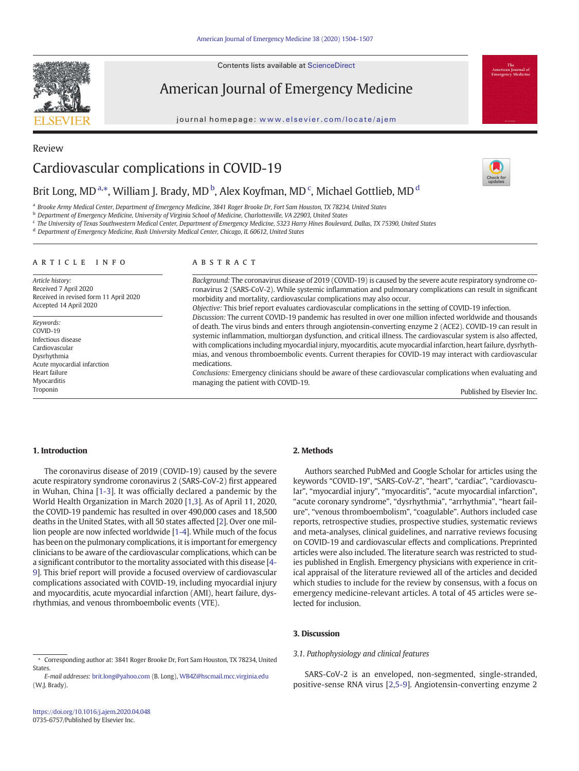Contents lists available at ScienceDirect

American Journal of Emergency Medicine

journal homepage: <www.elsevier.com/locate/ajem>



Review

Cardiovascular complications in COVID-19

# Brit Long, MD<sup>a,\*</sup>, William J. Brady, MD<sup>b</sup>, Alex Koyfman, MD<sup>c</sup>, Michael Gottlieb, MD<sup>d</sup>

a Brooke Army Medical Center, Department of Emergency Medicine, 3841 Roger Brooke Dr, Fort Sam Houston, TX 78234, United States

- <sup>b</sup> Department of Emergency Medicine, University of Virginia School of Medicine, Charlottesville, VA 22903, United States
- <sup>c</sup> The University of Texas Southwestern Medical Center, Department of Emergency Medicine, 5323 Harry Hines Boulevard, Dallas, TX 75390, United States

<sup>d</sup> Department of Emergency Medicine, Rush University Medical Center, Chicago, IL 60612, United States

#### article info abstract

Article history: Received 7 April 2020 Received in revised form 11 April 2020 Accepted 14 April 2020

Keywords: COVID-19 Infectious disease Cardiovascular Dysrhythmia Acute myocardial infarction Heart failure **Myocarditis** Troponin

Background: The coronavirus disease of 2019 (COVID-19) is caused by the severe acute respiratory syndrome coronavirus 2 (SARS-CoV-2). While systemic inflammation and pulmonary complications can result in significant morbidity and mortality, cardiovascular complications may also occur.

Objective: This brief report evaluates cardiovascular complications in the setting of COVID-19 infection.

Discussion: The current COVID-19 pandemic has resulted in over one million infected worldwide and thousands of death. The virus binds and enters through angiotensin-converting enzyme 2 (ACE2). COVID-19 can result in systemic inflammation, multiorgan dysfunction, and critical illness. The cardiovascular system is also affected, with complications including myocardial injury, myocarditis, acute myocardial infarction, heart failure, dysrhythmias, and venous thromboembolic events. Current therapies for COVID-19 may interact with cardiovascular medications.

Conclusions: Emergency clinicians should be aware of these cardiovascular complications when evaluating and managing the patient with COVID-19.

Published by Elsevier Inc.

### 1. Introduction

The coronavirus disease of 2019 (COVID-19) caused by the severe acute respiratory syndrome coronavirus 2 (SARS-CoV-2) first appeared in Wuhan, China [[1-3](#page-3-0)]. It was officially declared a pandemic by the World Health Organization in March 2020 [\[1,3](#page-3-0)]. As of April 11, 2020, the COVID-19 pandemic has resulted in over 490,000 cases and 18,500 deaths in the United States, with all 50 states affected [[2\]](#page-3-0). Over one million people are now infected worldwide [[1-4\]](#page-3-0). While much of the focus has been on the pulmonary complications, it is important for emergency clinicians to be aware of the cardiovascular complications, which can be a significant contributor to the mortality associated with this disease [\[4-](#page-3-0) [9](#page-3-0)]. This brief report will provide a focused overview of cardiovascular complications associated with COVID-19, including myocardial injury and myocarditis, acute myocardial infarction (AMI), heart failure, dysrhythmias, and venous thromboembolic events (VTE).

#### ⁎ Corresponding author at: 3841 Roger Brooke Dr, Fort Sam Houston, TX 78234, United **States**

# 2. Methods

Authors searched PubMed and Google Scholar for articles using the keywords "COVID-19", "SARS-CoV-2", "heart", "cardiac", "cardiovascular", "myocardial injury", "myocarditis", "acute myocardial infarction", "acute coronary syndrome", "dysrhythmia", "arrhythmia", "heart failure", "venous thromboembolism", "coagulable". Authors included case reports, retrospective studies, prospective studies, systematic reviews and meta-analyses, clinical guidelines, and narrative reviews focusing on COVID-19 and cardiovascular effects and complications. Preprinted articles were also included. The literature search was restricted to studies published in English. Emergency physicians with experience in critical appraisal of the literature reviewed all of the articles and decided which studies to include for the review by consensus, with a focus on emergency medicine-relevant articles. A total of 45 articles were selected for inclusion.

# 3. Discussion

#### 3.1. Pathophysiology and clinical features

SARS-CoV-2 is an enveloped, non-segmented, single-stranded, positive-sense RNA virus [\[2,5-9](#page-3-0)]. Angiotensin-converting enzyme 2



E-mail addresses: [brit.long@yahoo.com](mailto:brit.long@yahoo.com) (B. Long), [WB4Z@hscmail.mcc.virginia.edu](mailto:WB4Z@hscmail.mcc.virginia.edu) (W.J. Brady).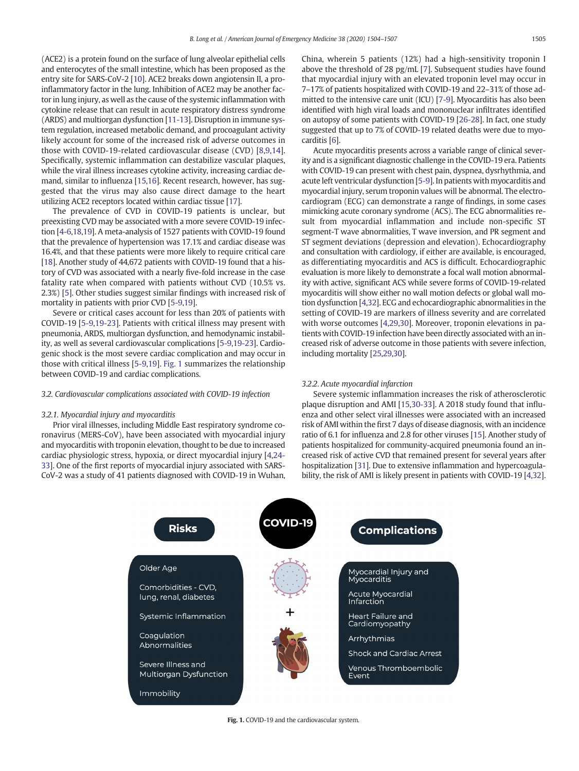(ACE2) is a protein found on the surface of lung alveolar epithelial cells and enterocytes of the small intestine, which has been proposed as the entry site for SARS-CoV-2 [\[10](#page-3-0)]. ACE2 breaks down angiotensin II, a proinflammatory factor in the lung. Inhibition of ACE2 may be another factor in lung injury, as well as the cause of the systemic inflammation with cytokine release that can result in acute respiratory distress syndrome (ARDS) and multiorgan dysfunction [[11-13\]](#page-3-0). Disruption in immune system regulation, increased metabolic demand, and procoagulant activity likely account for some of the increased risk of adverse outcomes in those with COVID-19-related cardiovascular disease (CVD) [[8,9,14\]](#page-3-0). Specifically, systemic inflammation can destabilize vascular plaques, while the viral illness increases cytokine activity, increasing cardiac demand, similar to influenza [\[15,16](#page-3-0)]. Recent research, however, has suggested that the virus may also cause direct damage to the heart utilizing ACE2 receptors located within cardiac tissue [[17](#page-3-0)].

The prevalence of CVD in COVID-19 patients is unclear, but preexisting CVD may be associated with a more severe COVID-19 infection [\[4-6,18,19](#page-3-0)]. A meta-analysis of 1527 patients with COVID-19 found that the prevalence of hypertension was 17.1% and cardiac disease was 16.4%, and that these patients were more likely to require critical care [\[18](#page-3-0)]. Another study of 44,672 patients with COVID-19 found that a history of CVD was associated with a nearly five-fold increase in the case fatality rate when compared with patients without CVD (10.5% vs. 2.3%) [[5](#page-3-0)]. Other studies suggest similar findings with increased risk of mortality in patients with prior CVD [[5-9,19](#page-3-0)].

Severe or critical cases account for less than 20% of patients with COVID-19 [[5-9](#page-3-0),[19-23](#page-3-0)]. Patients with critical illness may present with pneumonia, ARDS, multiorgan dysfunction, and hemodynamic instability, as well as several cardiovascular complications [\[5-9](#page-3-0),[19-23\]](#page-3-0). Cardiogenic shock is the most severe cardiac complication and may occur in those with critical illness [\[5-9,19\]](#page-3-0). Fig. 1 summarizes the relationship between COVID-19 and cardiac complications.

#### 3.2. Cardiovascular complications associated with COVID-19 infection

# 3.2.1. Myocardial injury and myocarditis

Prior viral illnesses, including Middle East respiratory syndrome coronavirus (MERS-CoV), have been associated with myocardial injury and myocarditis with troponin elevation, thought to be due to increased cardiac physiologic stress, hypoxia, or direct myocardial injury [[4,24-](#page-3-0) [33](#page-3-0)]. One of the first reports of myocardial injury associated with SARS-CoV-2 was a study of 41 patients diagnosed with COVID-19 in Wuhan, China, wherein 5 patients (12%) had a high-sensitivity troponin I above the threshold of 28 pg/mL [[7](#page-3-0)]. Subsequent studies have found that myocardial injury with an elevated troponin level may occur in 7–17% of patients hospitalized with COVID-19 and 22–31% of those admitted to the intensive care unit (ICU) [\[7-9](#page-3-0)]. Myocarditis has also been identified with high viral loads and mononuclear infiltrates identified on autopsy of some patients with COVID-19 [\[26-28\]](#page-3-0). In fact, one study suggested that up to 7% of COVID-19 related deaths were due to myocarditis [\[6\]](#page-3-0).

Acute myocarditis presents across a variable range of clinical severity and is a significant diagnostic challenge in the COVID-19 era. Patients with COVID-19 can present with chest pain, dyspnea, dysrhythmia, and acute left ventricular dysfunction [\[5-9](#page-3-0)]. In patients with myocarditis and myocardial injury, serum troponin values will be abnormal. The electrocardiogram (ECG) can demonstrate a range of findings, in some cases mimicking acute coronary syndrome (ACS). The ECG abnormalities result from myocardial inflammation and include non-specific ST segment-T wave abnormalities, T wave inversion, and PR segment and ST segment deviations (depression and elevation). Echocardiography and consultation with cardiology, if either are available, is encouraged, as differentiating myocarditis and ACS is difficult. Echocardiographic evaluation is more likely to demonstrate a focal wall motion abnormality with active, significant ACS while severe forms of COVID-19-related myocarditis will show either no wall motion defects or global wall motion dysfunction [\[4,32](#page-3-0)]. ECG and echocardiographic abnormalities in the setting of COVID-19 are markers of illness severity and are correlated with worse outcomes [\[4,29,30\]](#page-3-0). Moreover, troponin elevations in patients with COVID-19 infection have been directly associated with an increased risk of adverse outcome in those patients with severe infection, including mortality [[25,29](#page-3-0),[30\]](#page-3-0).

#### 3.2.2. Acute myocardial infarction

Severe systemic inflammation increases the risk of atherosclerotic plaque disruption and AMI [\[15,30-33\]](#page-3-0). A 2018 study found that influenza and other select viral illnesses were associated with an increased risk of AMI within the first 7 days of disease diagnosis, with an incidence ratio of 6.1 for influenza and 2.8 for other viruses [\[15\]](#page-3-0). Another study of patients hospitalized for community-acquired pneumonia found an increased risk of active CVD that remained present for several years after hospitalization [[31\]](#page-3-0). Due to extensive inflammation and hypercoagulability, the risk of AMI is likely present in patients with COVID-19 [\[4,32](#page-3-0)].



Fig. 1. COVID-19 and the cardiovascular system.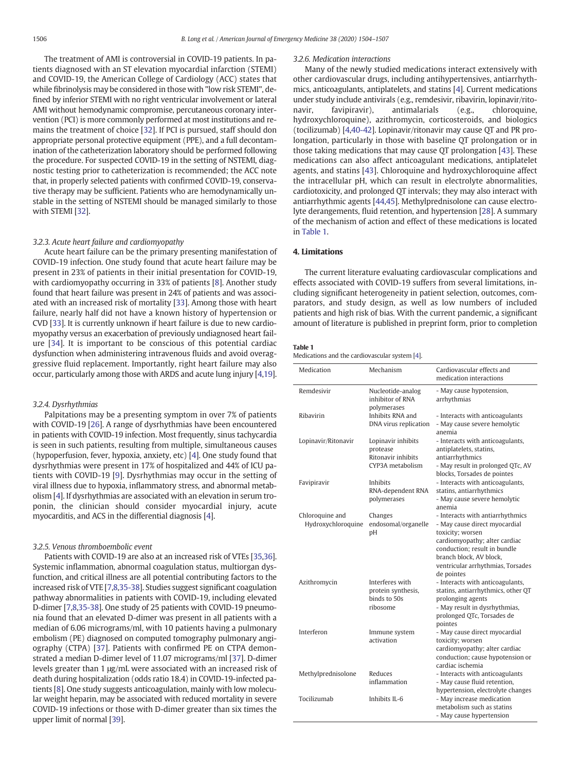The treatment of AMI is controversial in COVID-19 patients. In patients diagnosed with an ST elevation myocardial infarction (STEMI) and COVID-19, the American College of Cardiology (ACC) states that while fibrinolysis may be considered in those with "low risk STEMI", defined by inferior STEMI with no right ventricular involvement or lateral AMI without hemodynamic compromise, percutaneous coronary intervention (PCI) is more commonly performed at most institutions and remains the treatment of choice [[32\]](#page-3-0). If PCI is pursued, staff should don appropriate personal protective equipment (PPE), and a full decontamination of the catheterization laboratory should be performed following the procedure. For suspected COVID-19 in the setting of NSTEMI, diagnostic testing prior to catheterization is recommended; the ACC note that, in properly selected patients with confirmed COVID-19, conservative therapy may be sufficient. Patients who are hemodynamically unstable in the setting of NSTEMI should be managed similarly to those with STEMI [\[32](#page-3-0)].

#### 3.2.3. Acute heart failure and cardiomyopathy

Acute heart failure can be the primary presenting manifestation of COVID-19 infection. One study found that acute heart failure may be present in 23% of patients in their initial presentation for COVID-19, with cardiomyopathy occurring in 33% of patients [\[8\]](#page-3-0). Another study found that heart failure was present in 24% of patients and was associated with an increased risk of mortality [\[33](#page-3-0)]. Among those with heart failure, nearly half did not have a known history of hypertension or CVD [\[33\]](#page-3-0). It is currently unknown if heart failure is due to new cardiomyopathy versus an exacerbation of previously undiagnosed heart failure [[34\]](#page-3-0). It is important to be conscious of this potential cardiac dysfunction when administering intravenous fluids and avoid overaggressive fluid replacement. Importantly, right heart failure may also occur, particularly among those with ARDS and acute lung injury [\[4,19](#page-3-0)].

### 3.2.4. Dysrhythmias

Palpitations may be a presenting symptom in over 7% of patients with COVID-19 [\[26](#page-3-0)]. A range of dysrhythmias have been encountered in patients with COVID-19 infection. Most frequently, sinus tachycardia is seen in such patients, resulting from multiple, simultaneous causes (hypoperfusion, fever, hypoxia, anxiety, etc) [\[4\]](#page-3-0). One study found that dysrhythmias were present in 17% of hospitalized and 44% of ICU patients with COVID-19 [[9](#page-3-0)]. Dysrhythmias may occur in the setting of viral illness due to hypoxia, inflammatory stress, and abnormal metabolism [[4](#page-3-0)]. If dysrhythmias are associated with an elevation in serum troponin, the clinician should consider myocardial injury, acute myocarditis, and ACS in the differential diagnosis [\[4\]](#page-3-0).

# 3.2.5. Venous thromboembolic event

Patients with COVID-19 are also at an increased risk of VTEs [[35,36](#page-3-0)]. Systemic inflammation, abnormal coagulation status, multiorgan dysfunction, and critical illness are all potential contributing factors to the increased risk of VTE [\[7,8,35-38\]](#page-3-0). Studies suggest significant coagulation pathway abnormalities in patients with COVID-19, including elevated D-dimer [\[7,8,35-38\]](#page-3-0). One study of 25 patients with COVID-19 pneumonia found that an elevated D-dimer was present in all patients with a median of 6.06 micrograms/ml, with 10 patients having a pulmonary embolism (PE) diagnosed on computed tomography pulmonary angiography (CTPA) [\[37](#page-3-0)]. Patients with confirmed PE on CTPA demonstrated a median D-dimer level of 11.07 micrograms/ml [[37\]](#page-3-0). D-dimer levels greater than 1 μg/mL were associated with an increased risk of death during hospitalization (odds ratio 18.4) in COVID-19-infected patients [\[8\]](#page-3-0). One study suggests anticoagulation, mainly with low molecular weight heparin, may be associated with reduced mortality in severe COVID-19 infections or those with D-dimer greater than six times the upper limit of normal [\[39](#page-3-0)].

#### 3.2.6. Medication interactions

Many of the newly studied medications interact extensively with other cardiovascular drugs, including antihypertensives, antiarrhythmics, anticoagulants, antiplatelets, and statins [\[4](#page-3-0)]. Current medications under study include antivirals (e.g., remdesivir, ribavirin, lopinavir/ritonavir, favipiravir), antimalarials (e.g., chloroquine, hydroxychloroquine), azithromycin, corticosteroids, and biologics (tocilizumab) [\[4,40-42\]](#page-3-0). Lopinavir/ritonavir may cause QT and PR prolongation, particularly in those with baseline QT prolongation or in those taking medications that may cause QT prolongation [[43\]](#page-3-0). These medications can also affect anticoagulant medications, antiplatelet agents, and statins [\[43\]](#page-3-0). Chloroquine and hydroxychloroquine affect the intracellular pH, which can result in electrolyte abnormalities, cardiotoxicity, and prolonged QT intervals; they may also interact with antiarrhythmic agents [[44,45](#page-3-0)]. Methylprednisolone can cause electrolyte derangements, fluid retention, and hypertension [[28\]](#page-3-0). A summary of the mechanism of action and effect of these medications is located in Table 1.

# 4. Limitations

The current literature evaluating cardiovascular complications and effects associated with COVID-19 suffers from several limitations, including significant heterogeneity in patient selection, outcomes, comparators, and study design, as well as low numbers of included patients and high risk of bias. With the current pandemic, a significant amount of literature is published in preprint form, prior to completion

#### Table 1

Medications and the cardiovascular system [\[4\]](#page-3-0).

| Medication                            | Mechanism                                                                | Cardiovascular effects and<br>medication interactions                                                                                                                                                                                |
|---------------------------------------|--------------------------------------------------------------------------|--------------------------------------------------------------------------------------------------------------------------------------------------------------------------------------------------------------------------------------|
| Remdesivir                            | Nucleotide-analog<br>inhibitor of RNA<br>polymerases                     | - May cause hypotension,<br>arrhythmias                                                                                                                                                                                              |
| Ribavirin                             | Inhibits RNA and<br>DNA virus replication                                | - Interacts with anticoagulants<br>- May cause severe hemolytic<br>anemia                                                                                                                                                            |
| Lopinavir/Ritonavir                   | Lopinavir inhibits<br>protease<br>Ritonavir inhibits<br>CYP3A metabolism | - Interacts with anticoagulants,<br>antiplatelets, statins,<br>antiarrhythmics<br>- May result in prolonged QTc, AV<br>blocks, Torsades de pointes                                                                                   |
| Favipiravir                           | <b>Inhibits</b><br>RNA-dependent RNA<br>polymerases                      | - Interacts with anticoagulants,<br>statins, antiarrhythmics<br>- May cause severe hemolytic<br>anemia                                                                                                                               |
| Chloroquine and<br>Hydroxychloroquine | Changes<br>endosomal/organelle<br>pH                                     | - Interacts with antiarrhythmics<br>- May cause direct myocardial<br>toxicity; worsen<br>cardiomyopathy; alter cardiac<br>conduction: result in bundle<br>branch block. AV block.<br>ventricular arrhythmias, Torsades<br>de pointes |
| Azithromycin                          | Interferes with<br>protein synthesis,<br>binds to 50s<br>ribosome        | - Interacts with anticoagulants,<br>statins, antiarrhythmics, other QT<br>prolonging agents<br>- May result in dysrhythmias,<br>prolonged QTc, Torsades de<br>pointes                                                                |
| Interferon                            | Immune system<br>activation                                              | - May cause direct myocardial<br>toxicity; worsen<br>cardiomyopathy; alter cardiac<br>conduction; cause hypotension or<br>cardiac ischemia                                                                                           |
| Methylprednisolone                    | Reduces<br>inflammation                                                  | - Interacts with anticoagulants<br>- May cause fluid retention,<br>hypertension, electrolyte changes                                                                                                                                 |
| Tocilizumab                           | Inhibits II-6                                                            | - May increase medication<br>metabolism such as statins<br>- May cause hypertension                                                                                                                                                  |